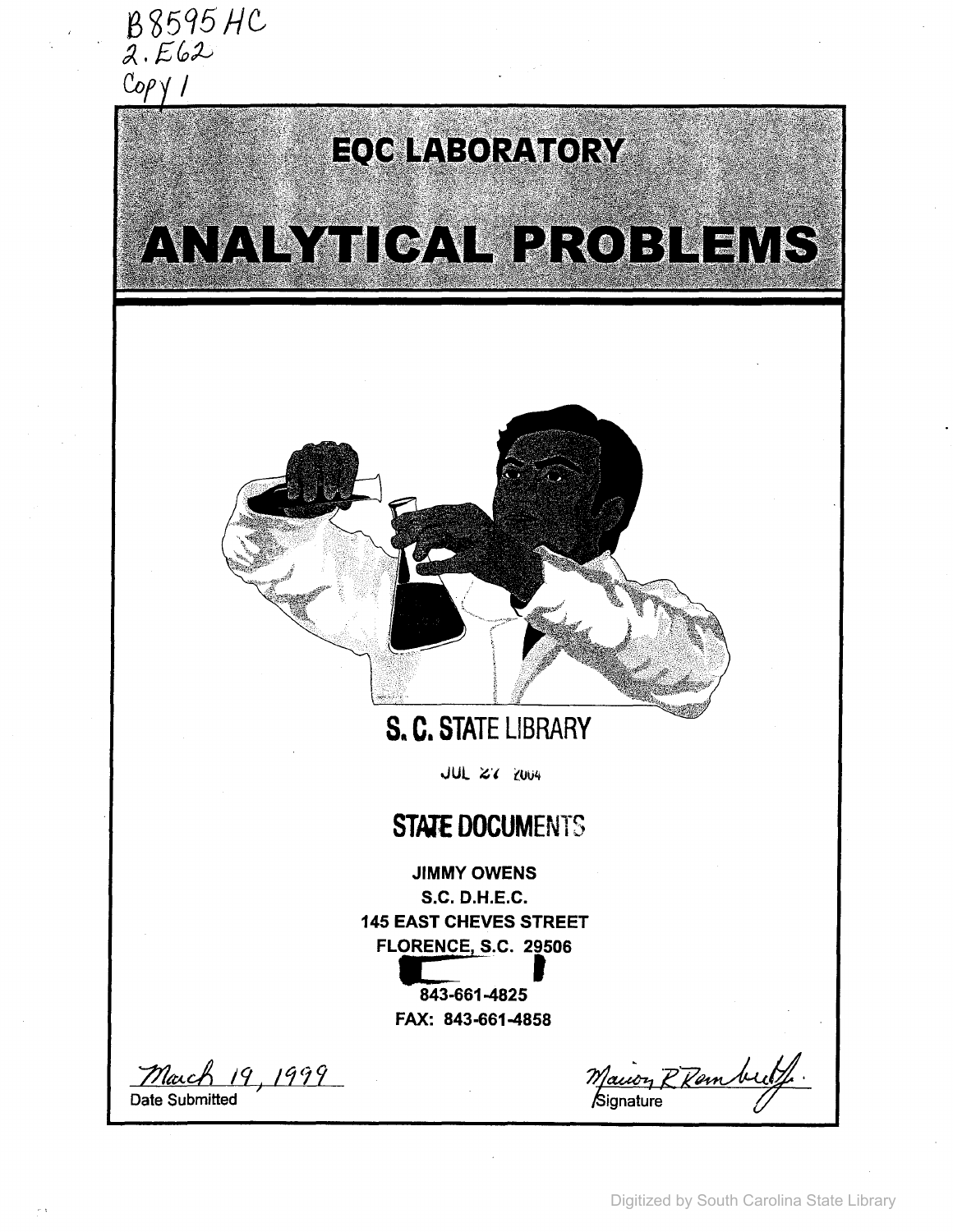

# EQC LABORATORY

ANA PYHICAL PROBLEMS



## **s. C. STATE LIBRARY**

**JUL 27 2004** 

## **STATE DOCUMENTS**

JIMMY OWENS s.c. D.H.E.C. **145 EAST CHEVES STREET FLORENCE,** S.C. **<sup>29506</sup> c:** '. <sup>t</sup>

> **843-661-4825 FAX: 843-661-4858**

7&~cA /9) *11(}9* Date Submitted

Maion R Ramberly. ignature *{l'*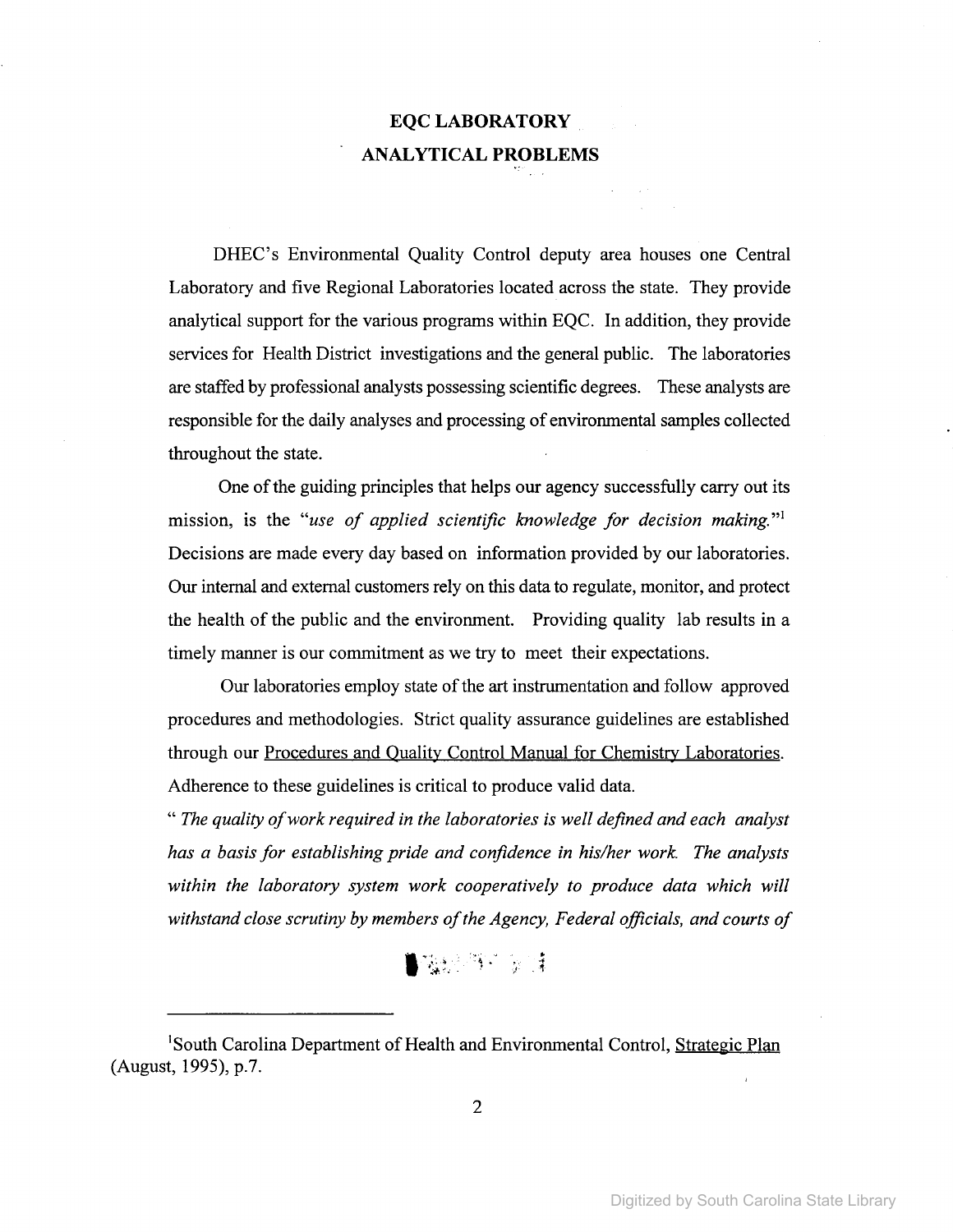## EQCLABORATORY ANALYTICAL PROBLEMS

DHEC's Environmental Quality Control deputy area houses one Central Laboratory and five Regional Laboratories located across the state. They provide analytical support for the various programs within EQC. In addition, they provide services for Health District investigations and the general public. The laboratories are staffed by professional analysts possessing scientific degrees. These analysts are responsible for the daily analyses and processing of environmental samples collected throughout the state.

One of the guiding principles that helps our agency successfully carry out its mission, is the *"use of applied scientific knowledge for decision making.* "I Decisions are made every day based on information provided by our laboratories. Our internal and external customers rely on this data to regulate, monitor, and protect the health of the public and the environment. Providing quality lab results in a timely manner is our commitment as we try to meet their expectations.

Our laboratories employ state of the art instrumentation and follow approved procedures and methodologies. Strict quality assurance guidelines are established through our Procedures and Quality Control Manual for Chemistry Laboratories. Adherence to these guidelines is critical to produce valid data.

*" The quality ofwork required in the laboratories is well defined and each analyst has a basis for establishing pride and confidence in his/her work. The analysts within the laboratory system work cooperatively to produce data which will withstand close scrutiny by members ofthe Agency, Federal officials, and courts of*

## $\frac{1}{2}$

<sup>&</sup>lt;sup>1</sup>South Carolina Department of Health and Environmental Control, Strategic Plan (August, 1995), p.?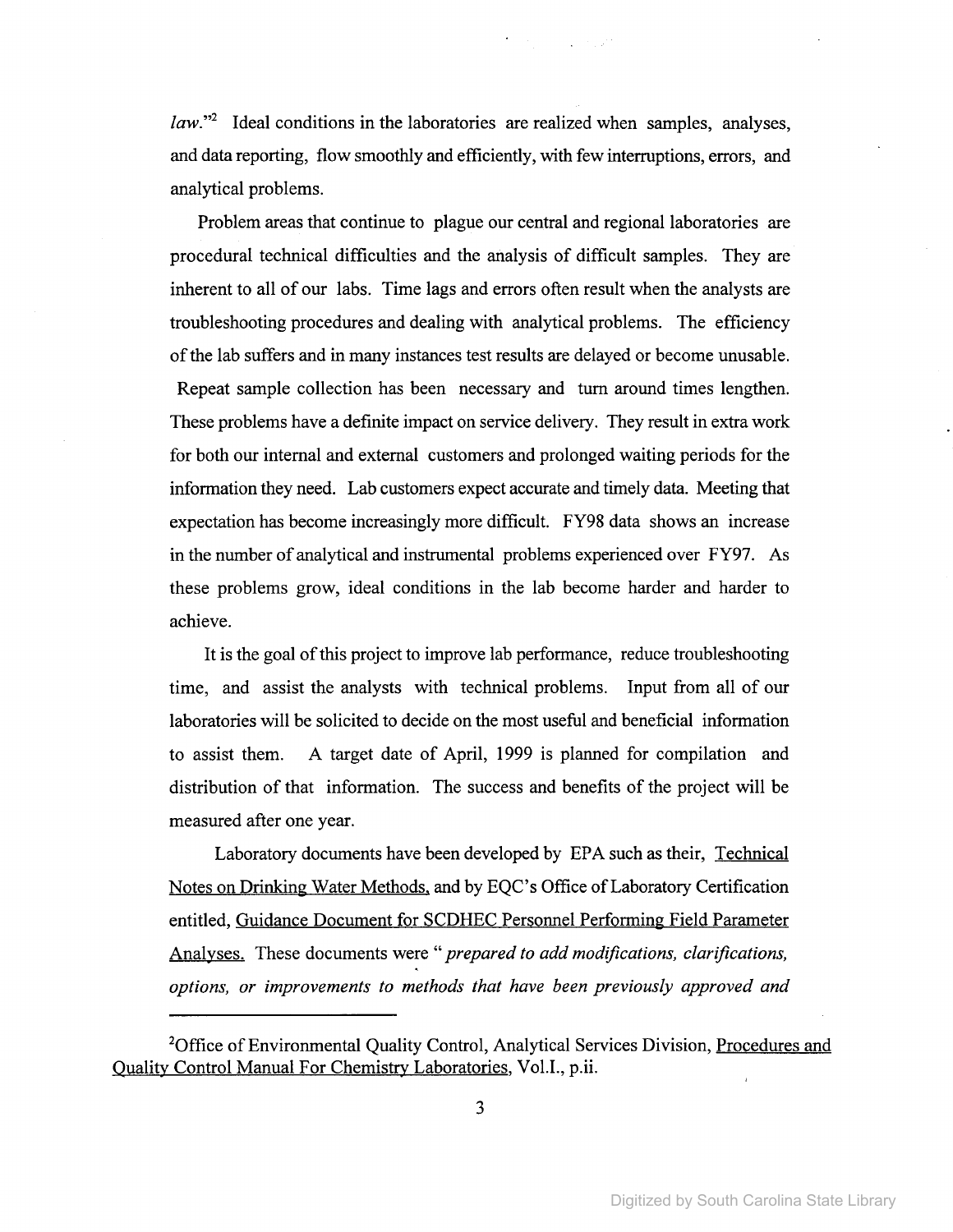*law.*"<sup>2</sup> Ideal conditions in the laboratories are realized when samples, analyses, and data reporting, flow smoothly and efficiently, with few interruptions, errors, and analytical problems.

Problem areas that continue to plague our central and regional laboratories are procedural technical difficulties and the analysis of difficult samples. They are inherent to all of our labs. Time lags and errors often result when the analysts are troubleshooting procedures and dealing with analytical problems. The efficiency of the lab suffers and in many instances test results are delayed or become unusable. Repeat sample collection has been necessary and tum around times lengthen. These problems have a definite impact on service delivery. They result in extra work for both our internal and external customers and prolonged waiting periods for the information they need. Lab customers expect accurate and timely data. Meeting that expectation has become increasingly more difficult. FY98 data shows an increase in the number of analytical and instrumental problems experienced over FY97. As these problems grow, ideal conditions in the lab become harder and harder to achieve.

It is the goal of this project to improve lab performance, reduce troubleshooting time, and assist the analysts with technical problems. Input from all of our laboratories will be solicited to decide on the most useful and beneficial information to assist them. A target date of April, 1999 is planned for compilation and distribution of that information. The success and benefits of the project will be measured after one year.

Laboratory documents have been developed by EPA such as their, Technical Notes on Drinking Water Methods, and by EQC's Office of Laboratory Certification entitled, Guidance Document for SCDHEC Personnel Performing Field Parameter Analyses. These documents were" *prepared to add modifications, clarifications, options, or improvements to methods that have been previously approved and*

<sup>&</sup>lt;sup>2</sup>Office of Environmental Quality Control, Analytical Services Division, Procedures and Quality Control Manual For Chemistry Laboratories, Vol.L, p.ii.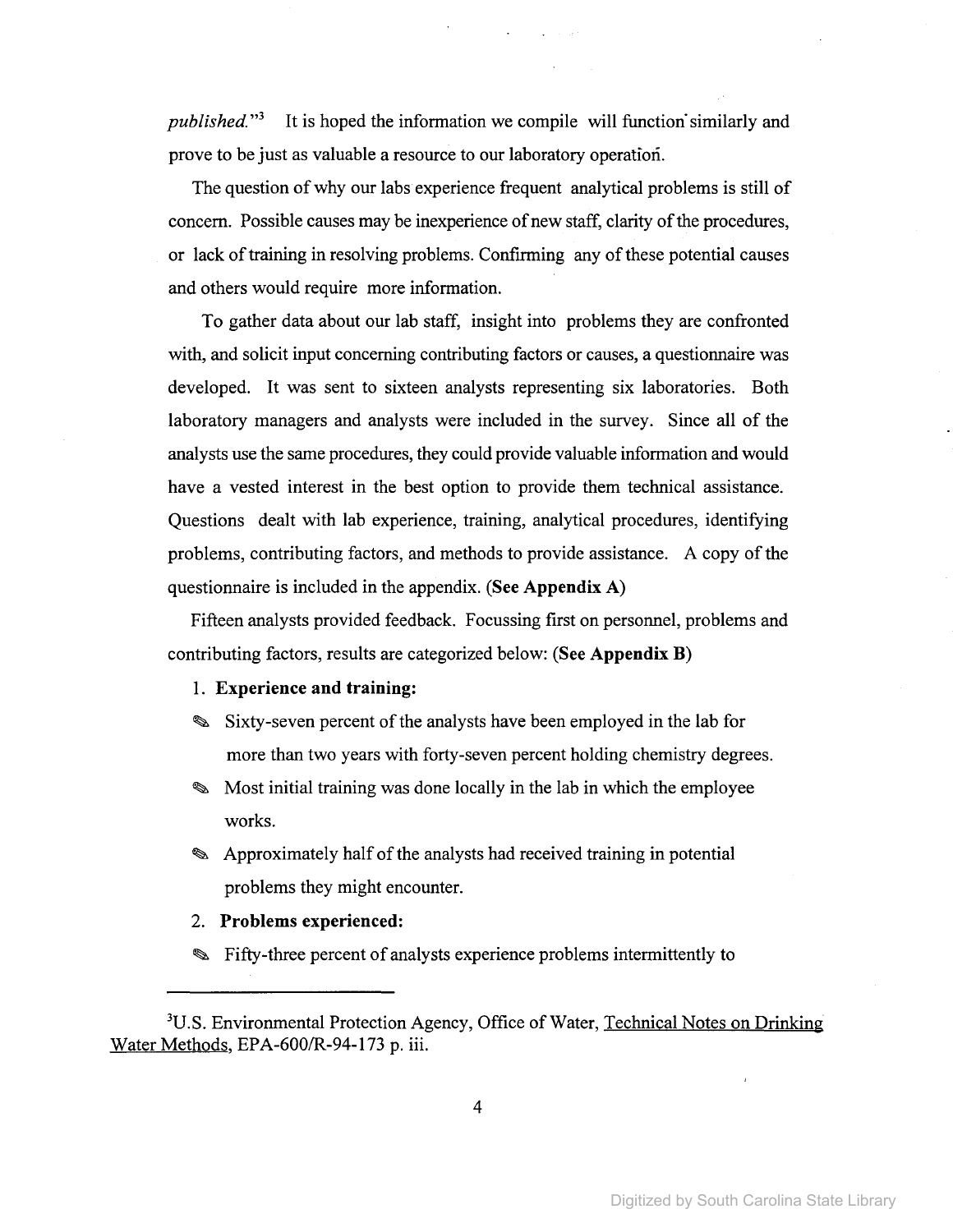*published."3* It is hoped the information we compile will function'similarly and prove to be just as valuable a resource to our laboratory operation.

The question of why our labs experience frequent analytical problems is still of concern. Possible causes may be inexperience of new staff, clarity of the procedures, or lack oftraining in resolving problems. ConfIrming any ofthese potential causes and others would require more information.

To gather data about our lab staff, insight into problems they are confronted with, and solicit input concerning contributing factors or causes, a questionnaire was developed. It was sent to sixteen analysts representing six laboratories. Both laboratory managers and analysts were included in the survey. Since all of the analysts use the same procedures, they could provide valuable information and would have a vested interest in the best option to provide them technical assistance. Questions dealt with lab experience, training, analytical procedures, identifying problems, contributing factors, and methods to provide assistance. A copy of the questionnaire is included in the appendix. (See **Appendix** A)

Fifteen analysts provided feedback. Focussing first on personnel, problems and contributing factors, results are categorized below: (See **Appendix** B)

1. **Experience and training:**

- Sixty-seven percent of the analysts have been employed in the lab for more than two years with forty-seven percent holding chemistry degrees.
- Most initial training was done locally in the lab in which the employee works.
- **EX** Approximately half of the analysts had received training in potential problems they might encounter.
- 2. **Problems experienced:**
- Fifty-three percent of analysts experience problems intermittently to

<sup>&</sup>lt;sup>3</sup>U.S. Environmental Protection Agency, Office of Water, Technical Notes on Drinking Water Methods, EPA-600/R-94-173 p. iii.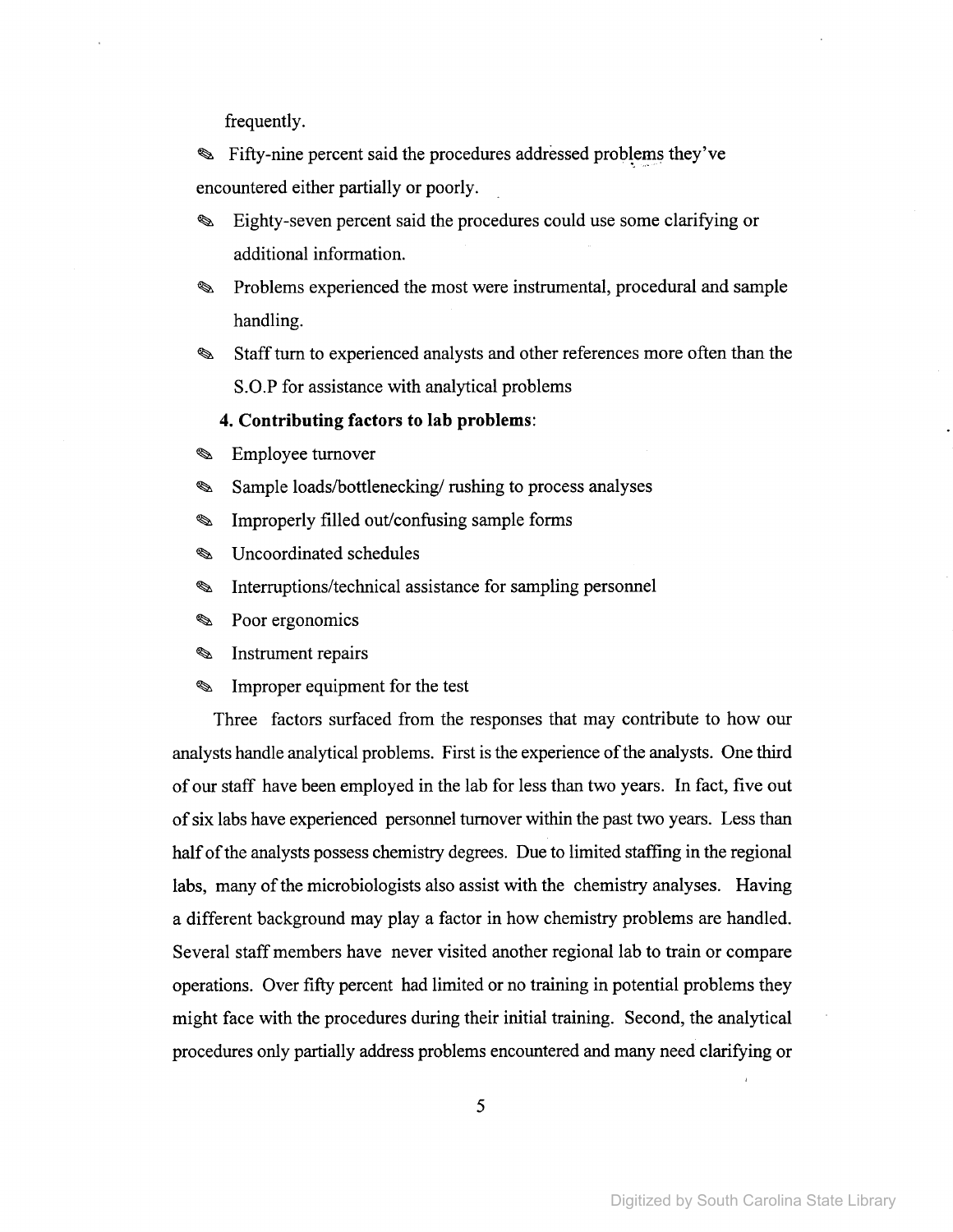frequently.

Fifty-nine percent said the procedures addressed problems they've encountered either partially or poorly. .

- Eighty-seven percent said the procedures could use some clarifying or ৎ additional information.
- Problems experienced the most were instrumental, procedural and sample క handling.
- Staffturn to experienced analysts and other references more often than the  $\mathscr{D}$ S.O.P for assistance with analytical problems
	- **4. Contributing factors to lab problems:**
- Ø Employee turnover
- Sample loads/bottlenecking/ rushing to process analyses క
- $\mathscr{D}$ Improperly filled out/confusing sample forms
- Uncoordinated schedules Q
- Interruptions/technical assistance for sampling personnel ☜
- Poor ergonomics  $\mathscr{D}$
- Instrument repairs  $\mathscr{D}$
- Ø Improper equipment for the test

Three factors surfaced from the responses that may contribute to how our analysts handle analytical problems. First is the experience of the analysts. One third of our staff have been employed in the lab for less than two years. In fact, five out of six labs have experienced personnel turnover within the past two years. Less than half of the analysts possess chemistry degrees. Due to limited staffing in the regional labs, many of the microbiologists also assist with the chemistry analyses. Having a different background may playa factor in how chemistry problems are handled. Several staffmembers have never visited another regional lab to train or compare operations. Over fifty percent had limited or no training in potential problems they might face with the procedures during their initial training. Second, the analytical procedures only partially address problems encountered and many need clarifying or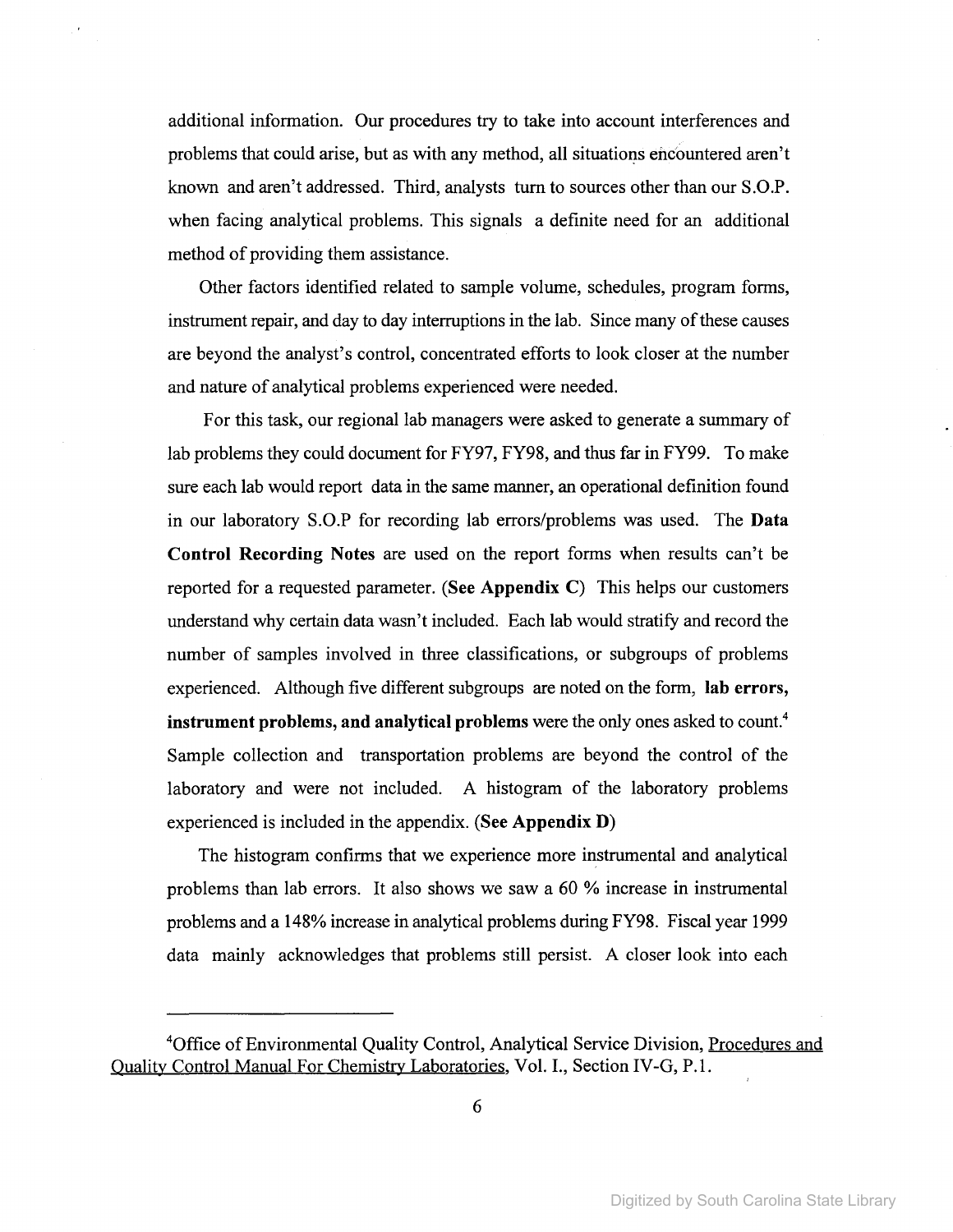additional information. Our procedures try to take into account interferences and problems that could arise, but as with any method, all situations encountered aren't known and aren't addressed. Third, analysts tum to sources other than our S.O.P. when facing analytical problems. This signals a definite need for an additional method of providing them assistance.

Other factors identified related to sample volume, schedules, program forms, instrument repair, and day to day interruptions in the lab. Since many of these causes are beyond the analyst's control, concentrated efforts to look closer at the number and nature of analytical problems experienced were needed.

For this task, our regional lab managers were asked to generate a summary of lab problems they could document for FY97, FY98, and thus far in FY99. To make sure each lab would report data in the same manner, an operational definition found in our laboratory S.O.P for recording lab errors/problems was used. The Data Control Recording Notes are used on the report forms when results can't be reported for a requested parameter. (See Appendix C) This helps our customers understand why certain data wasn't included. Each lab would stratify and record the number of samples involved in three classifications, or subgroups of problems experienced. Although five different subgroups are noted on the form, lab errors, instrument problems, and analytical problems were the only ones asked to count.<sup>4</sup> Sample collection and transportation problems are beyond the control of the laboratory and were not included. A histogram of the laboratory problems experienced is included in the appendix. (See Appendix D)

The histogram confirms that we experience more instrumental and analytical problems than lab errors. It also shows we saw a 60 % increase in instrumental problems and a 148% increase in analytical problems during FY98. Fiscal year 1999 data mainly acknowledges that problems still persist. A closer look into each

<sup>&</sup>lt;sup>4</sup>Office of Environmental Quality Control, Analytical Service Division, Procedures and Quality Control Manual For Chemistry Laboratories, Vol. I., Section IV-G, P.l.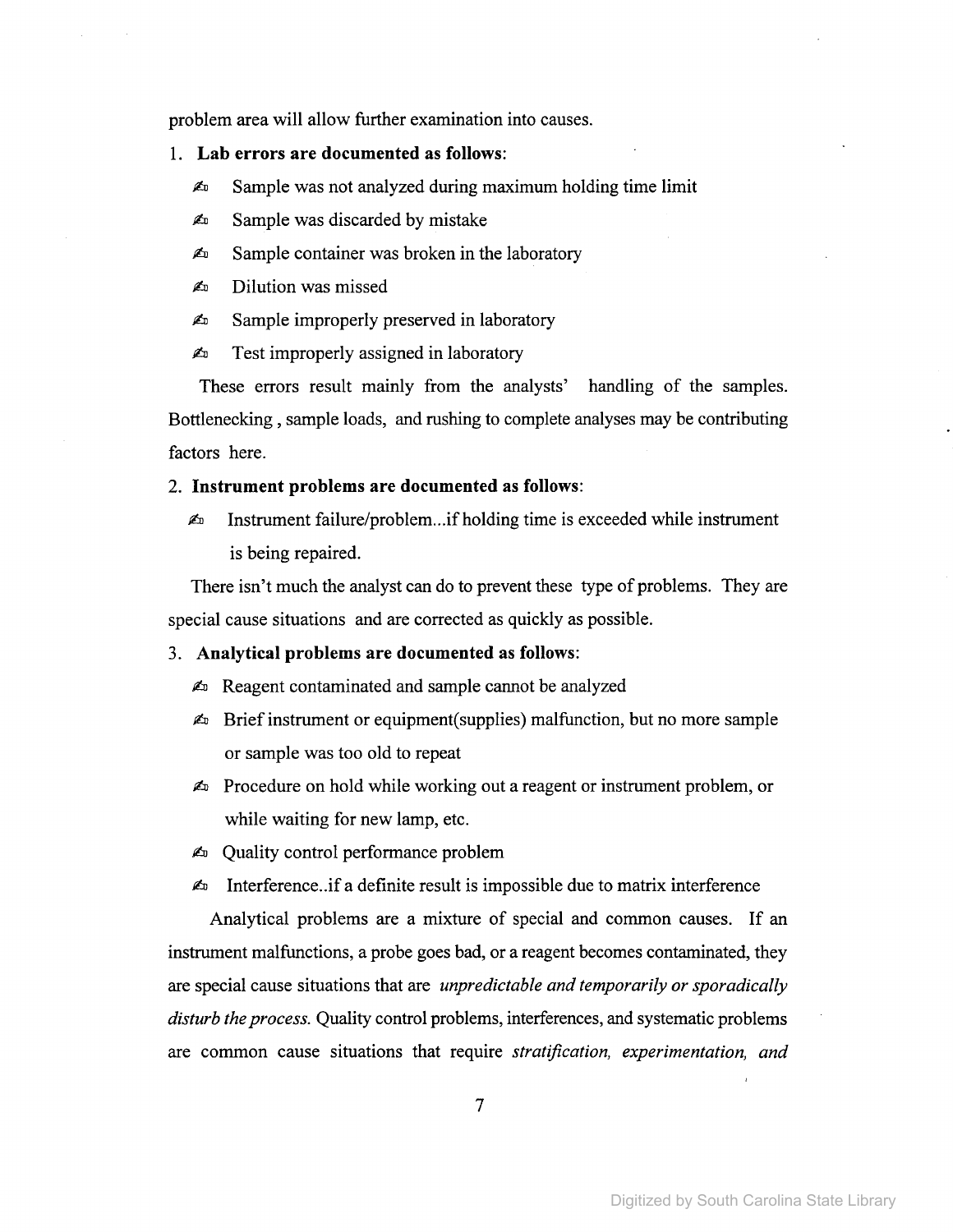problem area will allow further examination into causes.

- I. Lab errors are documented as follows:
	- $\mathbb{Z}_p$  Sample was not analyzed during maximum holding time limit
	- $\triangle$  Sample was discarded by mistake
	- $\mathbb{A}$  Sample container was broken in the laboratory
	- $\triangle$  Dilution was missed
	- $\triangle$  Sample improperly preserved in laboratory
	- $\triangle$  Test improperly assigned in laboratory

These errors result mainly from the analysts' handling of the samples. Bottlenecking , sample loads, and rushing to complete analyses may be contributing factors here.

### 2. Instrument problems are documented as follows:

 $\mathbb{Z}^n$  Instrument failure/problem...if holding time is exceeded while instrument is being repaired.

There isn't much the analyst can do to prevent these type of problems. They are special cause situations and are corrected as quickly as possible.

### 3. Analytical problems are documented as follows:

- $\blacktriangle$  Reagent contaminated and sample cannot be analyzed
- $\blacktriangle$  Brief instrument or equipment(supplies) malfunction, but no more sample or sample was too old to repeat
- $\triangle$  Procedure on hold while working out a reagent or instrument problem, or while waiting for new lamp, etc.
- $\triangle$  Quality control performance problem
- $\triangle$  Interference..if a definite result is impossible due to matrix interference

Analytical problems are a mixture of special and common causes. If an instrument malfunctions, a probe goes bad, or a reagent becomes contaminated, they are special cause situations that are *unpredictable and temporarily or sporadically disturb the process.* Quality control problems, interferences, and systematic problems are common cause situations that require *stratification, experimentation, and*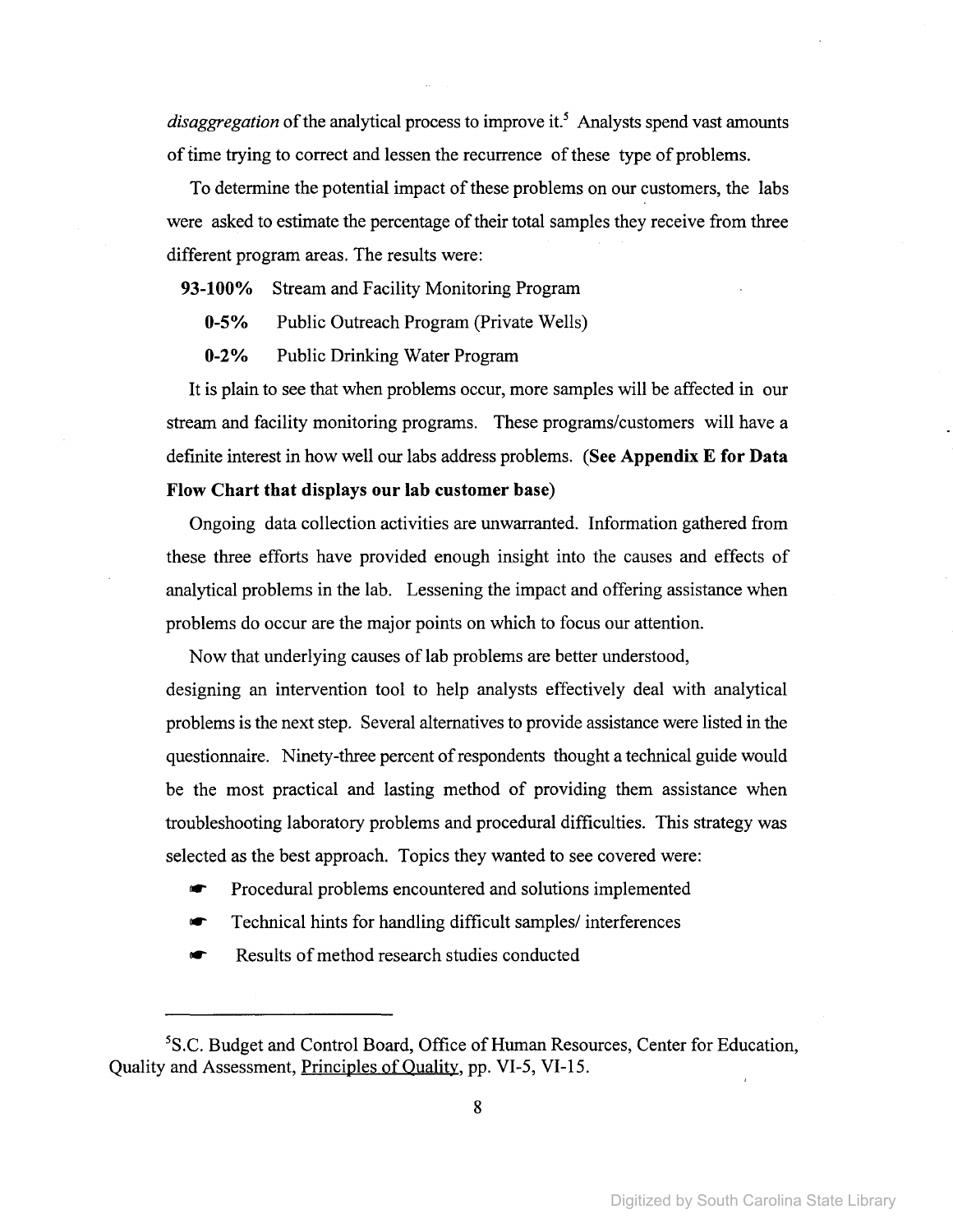*disaggregation* of the analytical process to improve it.<sup>5</sup> Analysts spend vast amounts of time trying to correct and lessen the recurrence of these type of problems.

To determine the potential impact of these problems on our customers, the labs were asked to estimate the percentage of their total samples they receive from three different program areas. The results were:

**93-100%** Stream and Facility Monitoring Program

**0-5%** Public Outreach Program (Private Wells)

**0-2%** Public Drinking Water Program

It is plain to see that when problems occur, more samples will be affected in our stream and facility monitoring programs. These programs/customers will have a defInite interest in how well our labs address problems. (See **Appendix E for Data Flow Chart that displays our lab customer** base)

Ongoing data collection activities are unwarranted. Information gathered from these three efforts have provided enough insight into the causes and effects of analytical problems in the lab. Lessening the impact and offering assistance when problems do occur are the major points on which to focus our attention.

Now that underlying causes of lab problems are better understood, designing an intervention tool to help analysts effectively deal with analytical problems is the next step. Several alternatives to provide assistance were listed in the questionnaire. Ninety-three percent of respondents thought a technical guide would be the most practical and lasting method of providing them assistance when troubleshooting laboratory problems and procedural diffIculties. This strategy was selected as the best approach. Topics they wanted to see covered were:

- Procedural problems encountered and solutions implemented
- Technical hints for handling difficult samples/ interferences
- Results of method research studies conducted

<sup>&</sup>lt;sup>5</sup>S.C. Budget and Control Board, Office of Human Resources, Center for Education, Quality and Assessment, Principles of Quality, pp. VI-5, VI-I5.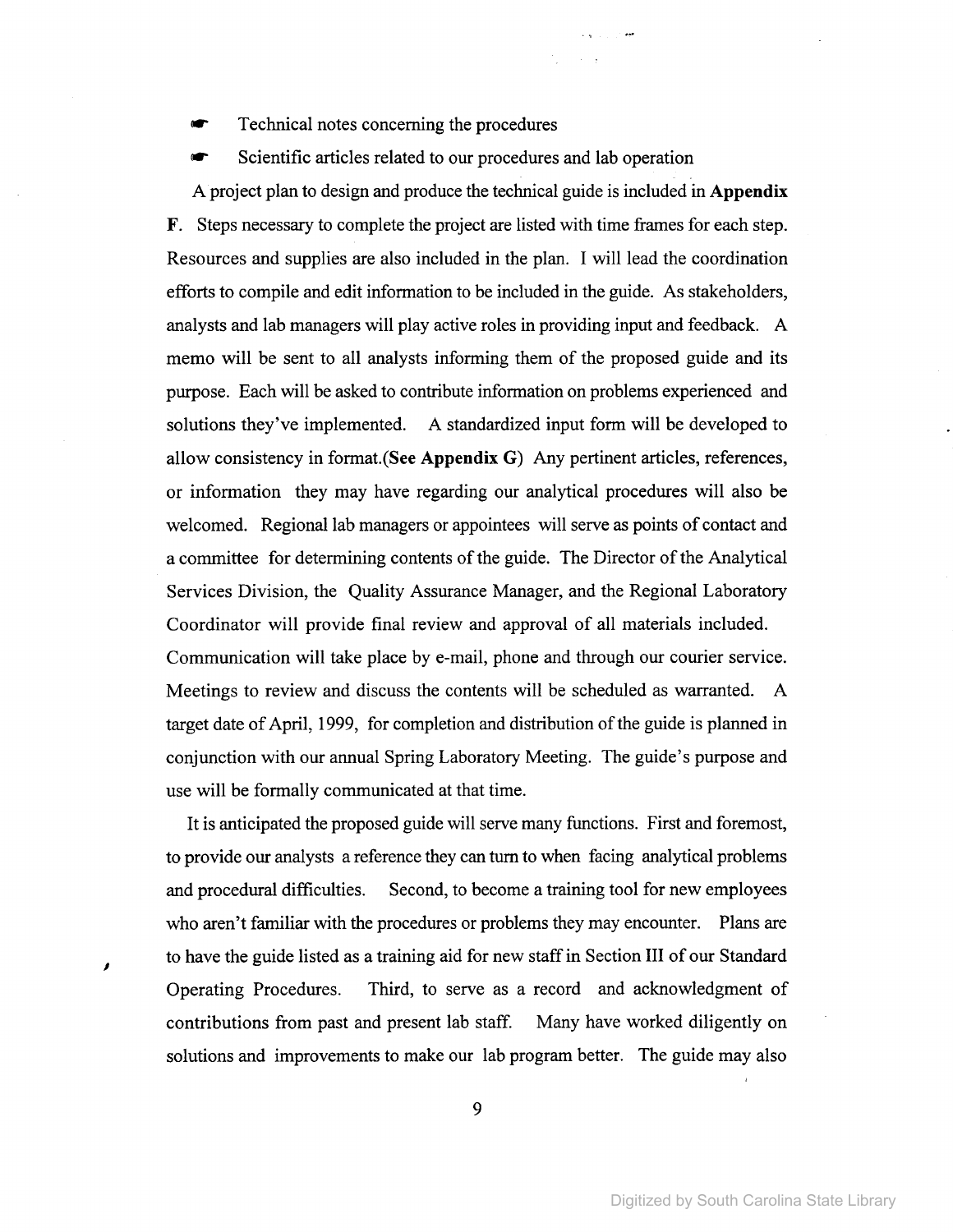Technical notes concerning the procedures

Scientific articles related to our procedures and lab operation

 $\sim 10^{-1}$  k  $^{-1}$ 

A project plan to design and produce the technical guide is included in **Appendix** F. Steps necessary to complete the project are listed with time frames for each step. Resources and supplies are also included in the plan. I will lead the coordination efforts to compile and edit information to be included in the guide. As stakeholders, analysts and lab managers will play active roles in providing input and feedback. A memo will be sent to all analysts informing them of the proposed guide and its purpose. Each will be asked to contribute information on problems experienced and solutions they've implemented. A standardized input form will be developed to allow consistency in format.(See **Appendix** G) Any pertinent articles, references, or information they may have regarding our analytical procedures will also be welcomed. Regional lab managers or appointees will serve as points of contact and a committee for determining contents of the guide. The Director of the Analytical Services Division, the Quality Assurance Manager, and the Regional Laboratory Coordinator will provide final review and approval of all materials included. Communication will take place by e-mail, phone and through our courier service. Meetings to review and discuss the contents will be scheduled as warranted. A target date of April, 1999, for completion and distribution of the guide is planned in conjunction with our annual Spring Laboratory Meeting. The guide's purpose and use will be formally communicated at that time.

It is anticipated the proposed guide will serve many functions. First and foremost, to provide our analysts a reference they can turn to when facing analytical problems and procedural difficulties. Second, to become a training tool for new employees who aren't familiar with the procedures or problems they may encounter. Plans are to have the guide listed as a training aid for new staff in Section III of our Standard Operating Procedures. Third, to serve as a record and acknowledgment of contributions from past and present lab staff. Many have worked diligently on solutions and improvements to make our lab program better. The guide may also

J

9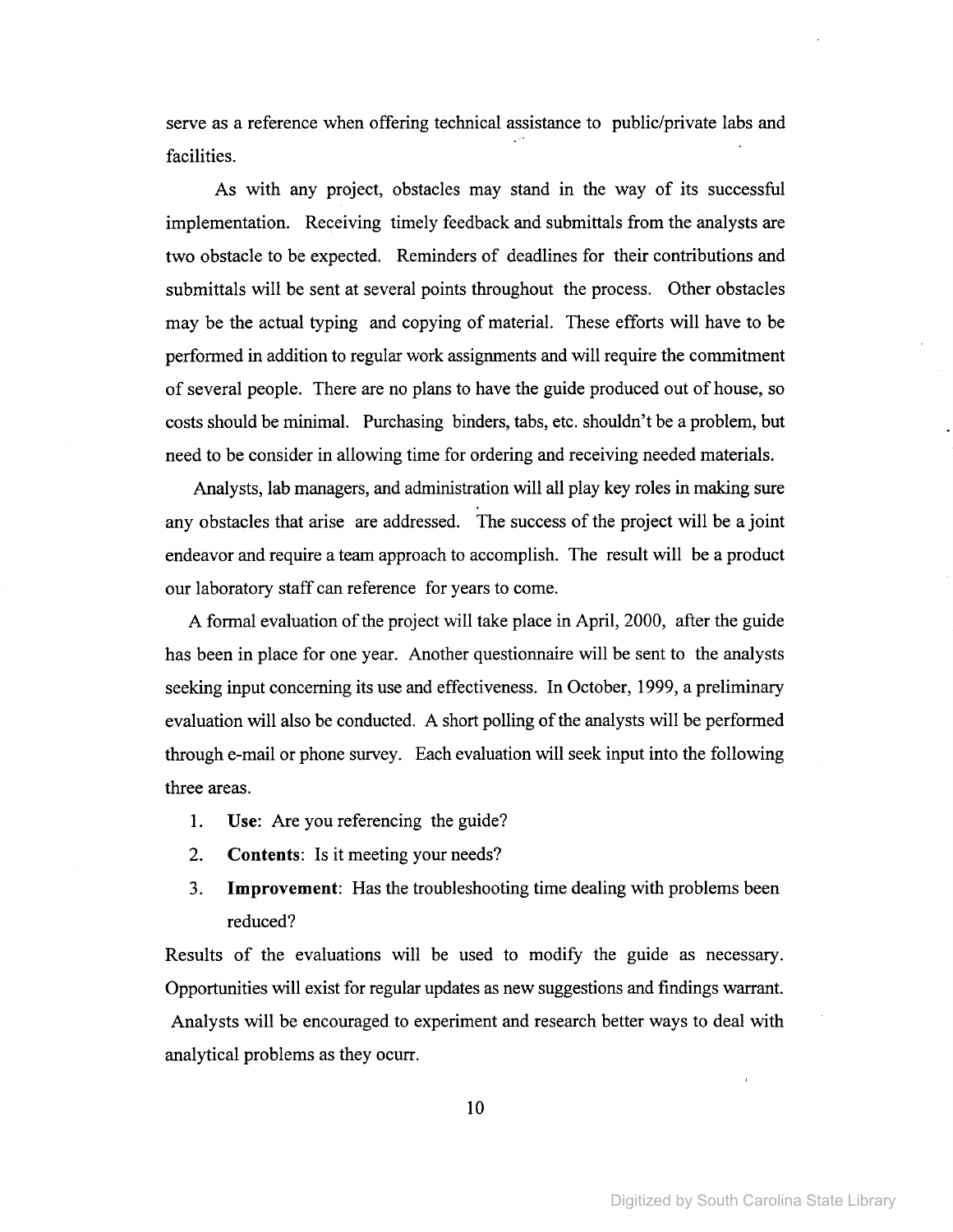serve as a reference when offering technical assistance to public/private labs and facilities.

As with any project, obstacles may stand in the way of its successful implementation. Receiving timely feedback and submittals from the analysts are two obstacle to be expected. Reminders of deadlines for their contributions and submittals will be sent at several points throughout the process. Other obstacles may be the actual typing and copying of material. These efforts will have to be performed in addition to regular work assignments and will require the commitment of several people. There are no plans to have the guide produced out of house, so costs should be minimal. Purchasing binders, tabs, etc. shouldn't be a problem, but need to be consider in allowing time for ordering and receiving needed materials.

Analysts, lab managers, and administration will all play key roles in making sure any obstacles that arise are addressed. The success of the project will be a joint endeavor and require a team approach to accomplish. The result will be a product our laboratory staff can reference for years to come.

A formal evaluation of the project will take place in April, 2000, after the guide has been in place for one year. Another questionnaire will be sent to the analysts seeking input concerning its use and effectiveness. In October, 1999, a preliminary evaluation will also be conducted. A short polling of the analysts will be performed through e-mail or phone survey. Each evaluation will seek input into the following three areas.

- 1. Use: Are you referencing the guide?
- 2. **Contents:** Is it meeting your needs?
- 3. **Improvement:** Has the troubleshooting time dealing with problems been reduced?

Results of the evaluations will be used to modify the guide as necessary. Opportunities will exist for regular updates as new suggestions and findings warrant. Analysts will be encouraged to experiment and research better ways to deal with analytical problems as they ocurr.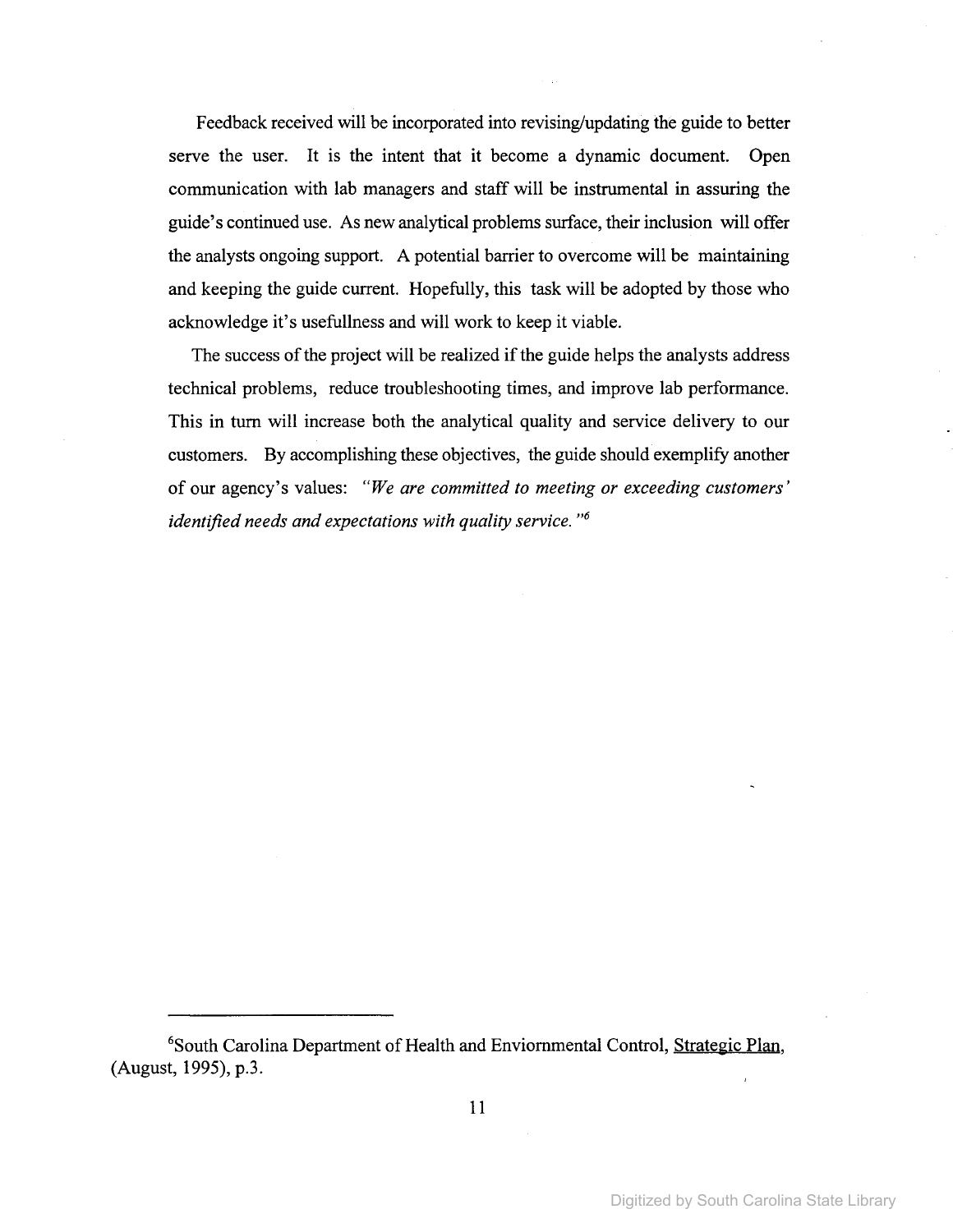Feedback received will be incorporated into revising/updating the guide to better serve the user. It is the intent that it become a dynamic document. Open communication with lab managers and staff will be instrumental in assuring the guide's continued use. As new analytical problems surface, their inclusion will offer the analysts ongoing support. A potential barrier to overcome will be maintaining and keeping the guide current. Hopefully, this task will be adopted by those who acknowledge it's usefullness and will work to keep it viable.

The success of the project will be realized if the guide helps the analysts address technical problems, reduce troubleshooting times, and improve lab performance. This in turn will increase both the analytical quality and service delivery to our customers. By accomplishing these objectives, the guide should exemplify another of our agency's values: *"We are committed to meeting or exceeding customers' identified needs and expectations with quality service. "6*

<sup>&</sup>lt;sup>6</sup>South Carolina Department of Health and Enviornmental Control, Strategic Plan, (August, 1995), p.3.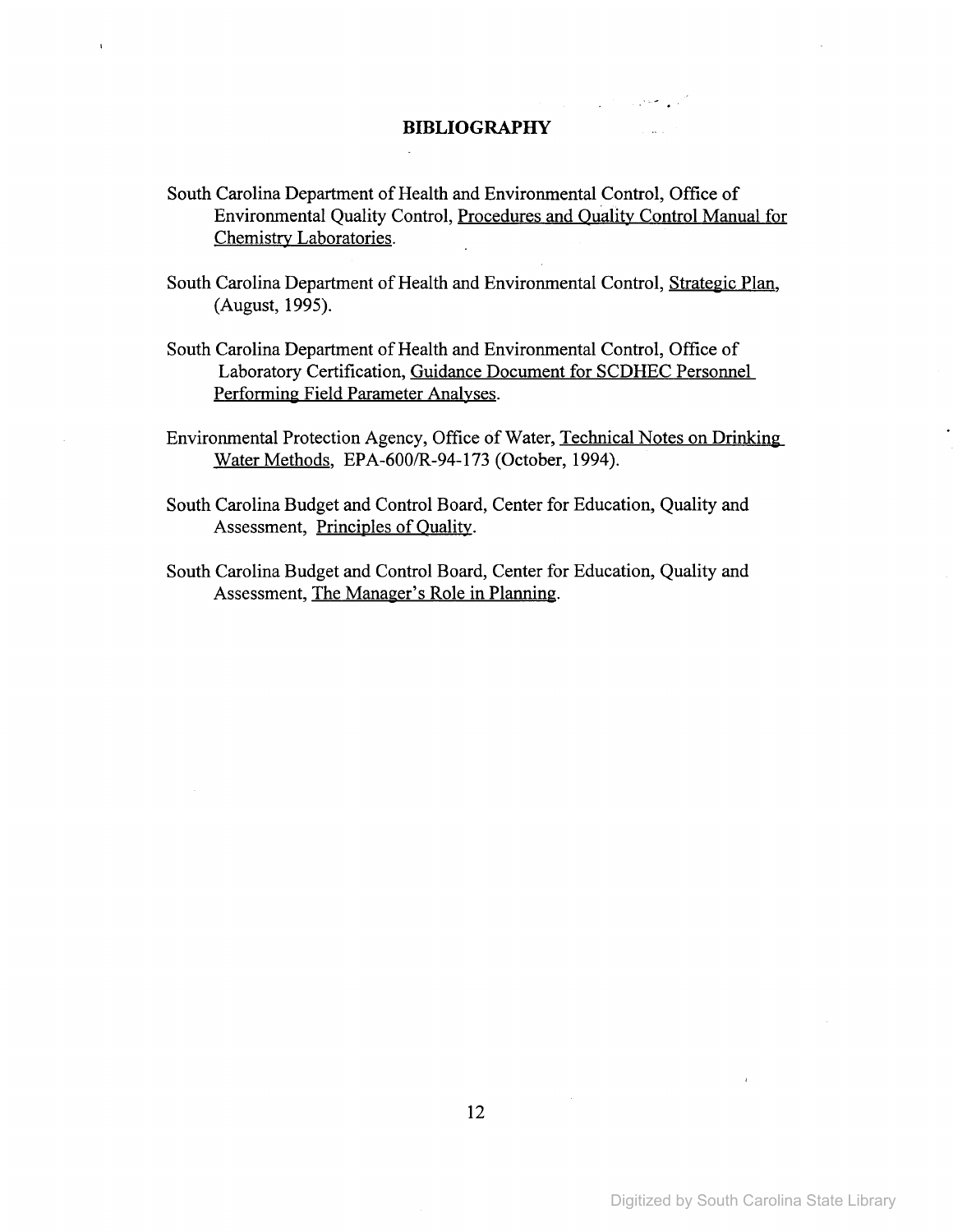## **BIBLIOGRAPHY**

- South Carolina Department of Health and Environmental Control, Office of Environmental Quality Control, Procedures and Quality Control Manual for Chemistry Laboratories.
- South Carolina Department of Health and Environmental Control, Strategic Plan, (August, 1995).
- South Carolina Department of Health and Environmental Control, Office of Laboratory Certification, Guidance Document for SCDHEC Personnel Performing Field Parameter Analyses.
- Environmental Protection Agency, Office of Water, Technical Notes on Drinking Water Methods, EPA-600/R-94-173 (October, 1994).
- South Carolina Budget and Control Board, Center for Education, Quality and Assessment, Principles of Quality.
- South Carolina Budget and Control Board, Center for Education, Quality and Assessment, The Manager's Role in Planning.

 $\sim$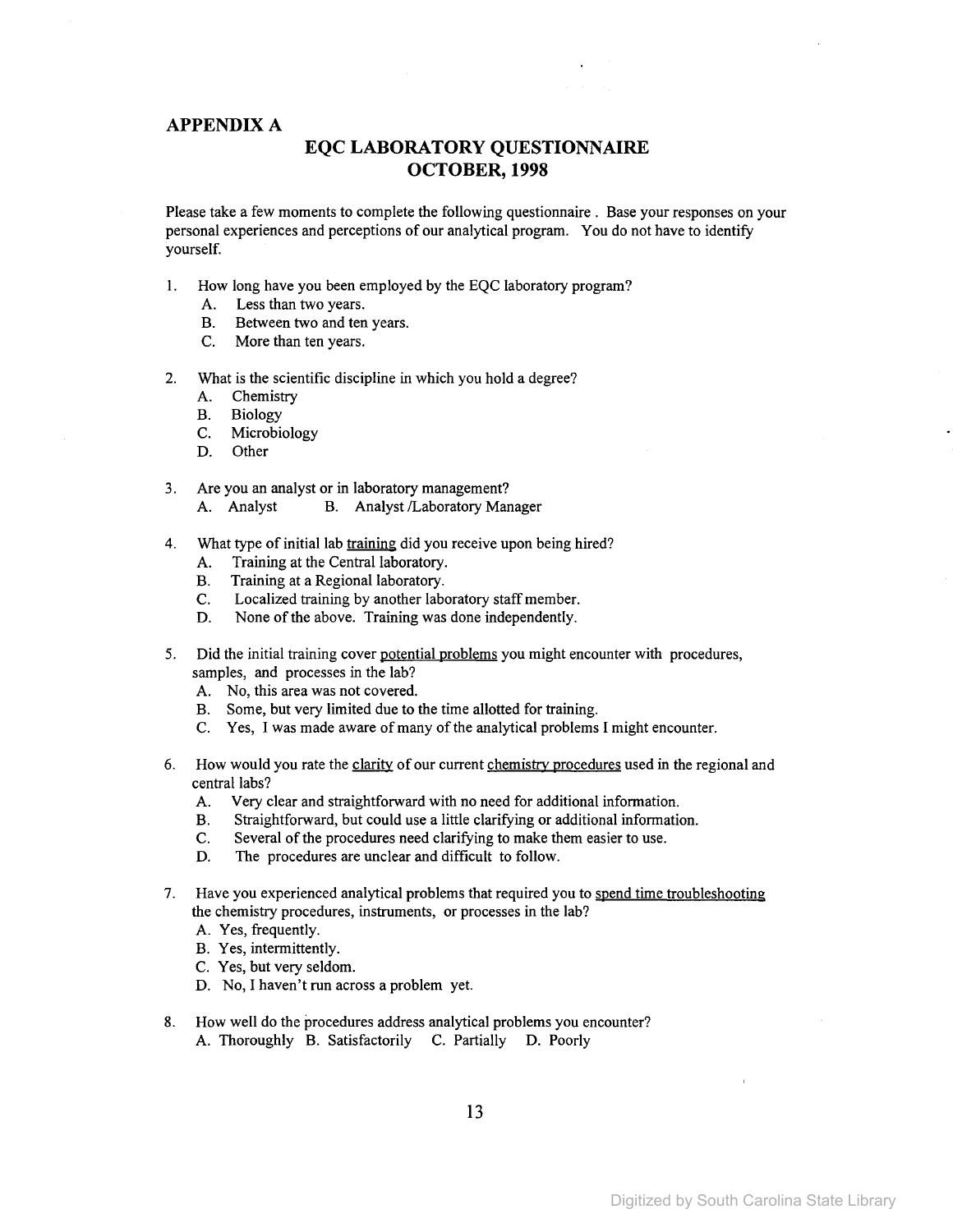#### APPENDIX A

## **EQC LABORATORY QUESTIONNAIRE OCTOBER, 1998**

Please take a few moments to complete the following questionnaire. Base your responses on your personal experiences and perceptions of our analytical program. You do not have to identify yourself.

- 1. How long have you been employed by the EQC laboratory program?
	- A. Less than two years.
	- B. Between two and ten years.
	- C. More than ten years.
- 2. What is the scientific discipline in which you hold a degree?
	- A. Chemistry
	- B. Biology
	- C. Microbiology
	- D. Other
- 3. Are you an analyst or in laboratory management? A. Analyst B. Analyst /Laboratory Manager
- 4. What type of initial lab training did you receive upon being hired?
	- A. Training at the Central laboratory.
	- B. Training at a Regional laboratory.
	- C. Localized training by another laboratory staff member.
	- D. None of the above. Training was done independently.
- 5. Did the initial training cover potential problems you might encounter with procedures, samples, and processes in the lab?
	- A. No, this area was not covered.
	- B. Some, but very limited due to the time allotted for training.
	- C. Yes, I was made aware of many of the analytical problems I might encounter.
- 6. How would you rate the clarity of our current chemistry procedures used in the regional and central labs?
	- A. Very clear and straightforward with no need for additional information.
	- B. Straightforward, but could use a little clarifying or additional information.
	- C. Several of the procedures need clarifying to make them easier to use.
	- D. The procedures are unclear and difficult to follow.
- 7. Have you experienced analytical problems that required you to spend time troubleshooting the chemistry procedures, instruments, or processes in the lab?
	- A. Yes, frequently.
	- B. Yes, intermittently.
	- C. Yes, but very seldom.
	- D. No, I haven't run across a problem yet.
- 8. How well do the procedures address analytical problems you encounter?
	- A. Thoroughly B. Satisfactorily C. Partially D. Poorly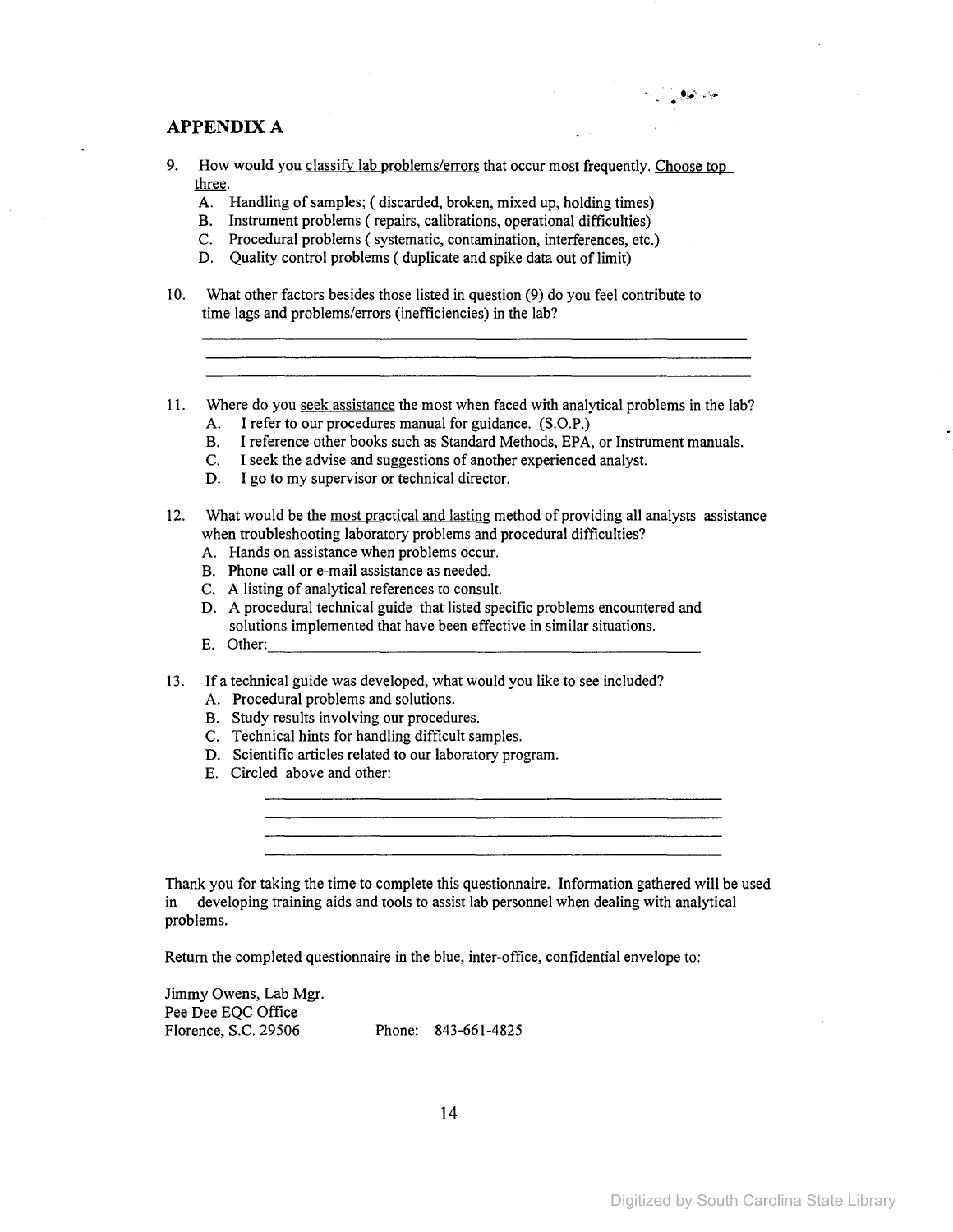### APPENDIX A

- 9. How would you classify lab problems/errors that occur most frequently. Choose top three.
	- A. Handling of samples; ( discarded, broken, mixed up, holding times)
	- B. Instrument problems (repairs, calibrations, operational difficulties)
	- C. Procedural problems (systematic, contamination, interferences, etc.)
	- D. Quality control problems ( duplicate and spike data out of limit)
- 10. What other factors besides those listed in question (9) do you feel contribute to time lags and problems/errors (inefficiencies) in the lab?
- 11. Where do you seek assistance the most when faced with analytical problems in the lab?
	- A. I refer to our procedures manual for guidance. (S.O.P.)
	- B. I reference other books such as Standard Methods, EPA, or Instrument manuals.
	- C. I seek the advise and suggestions of another experienced analyst.
	- D. I go to my supervisor or technical director.

### 12. What would be the most practical and lasting method of providing all analysts assistance when troubleshooting laboratory problems and procedural difficulties?

- A. Hands on assistance when problems occur.
- B. Phone call or e-mail assistance as needed.
- C. A listing of analytical references to consult.
- D. A procedural technical guide that listed specific problems encountered and solutions implemented that have been effective in similar situations.
- E. Other:
- 13. If a technical guide was developed, what would you like to see included?
	- A. Procedural problems and solutions.
	- B. Study results involving our procedures.
	- C. Technical hints for handling difficult samples.
	- D. Scientific articles related to our laboratory program.
	- E. Circled above and other:

Thank you for taking the time to complete this questionnaire. Information gathered will be used in developing training aids and tools to assist lab personnel when dealing with analytical problems.

Return the completed questionnaire in the blue, inter-office, confidential envelope to:

Jimmy Owens, Lab Mgr. Pee Dee EQC Office Florence, S.C. 29506 Phone: 843-661-4825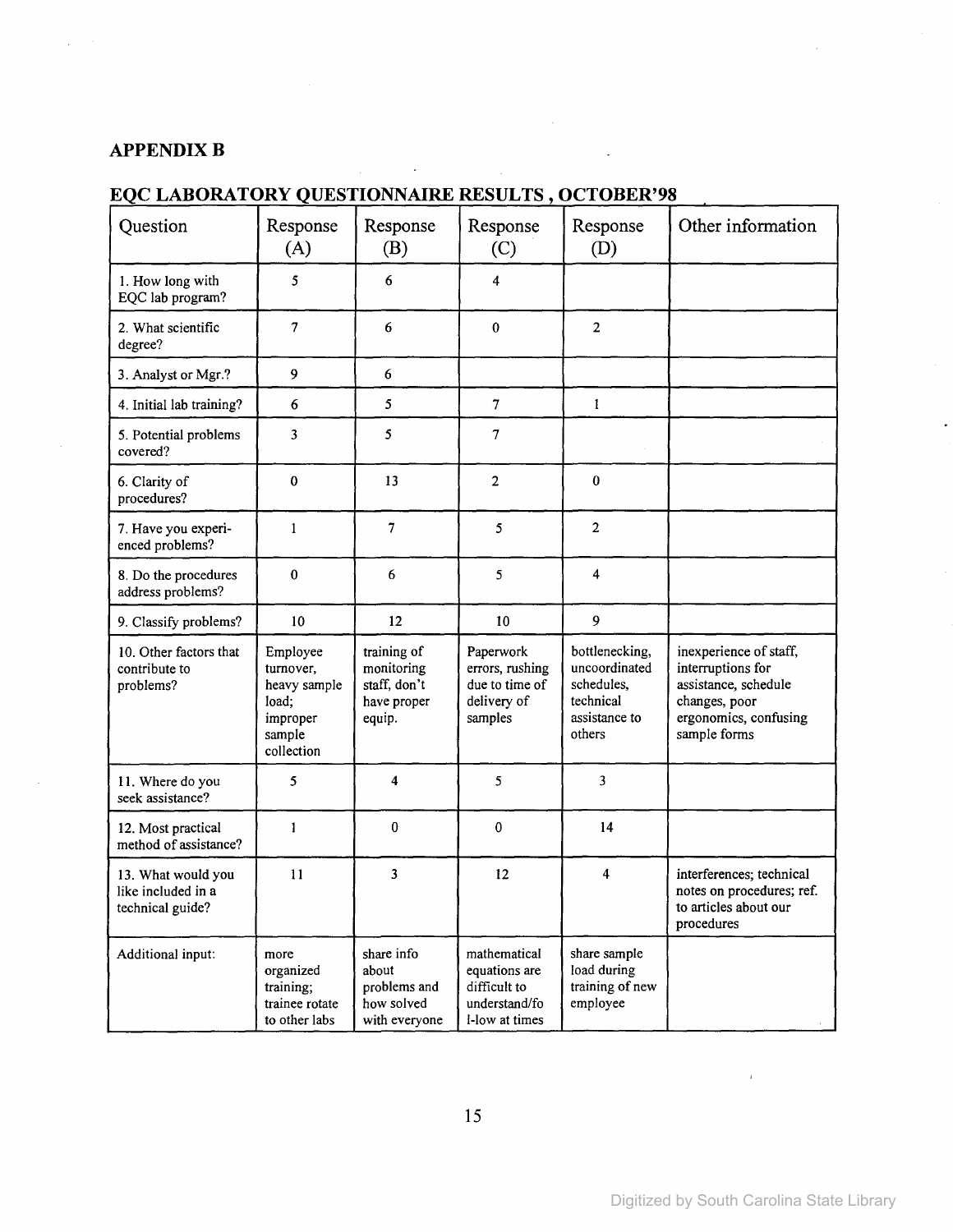## **APPENDIXB**

## **EQC LABORATORY QUESTIONNAIRE RESULTS, OCTOBER'98**

| Question                                                     | Response<br>(A)                                                                    | Response<br>(B)                                                    | Response<br>(C)                                                                  | Response<br>(D)                                                                       | Other information                                                                                                             |
|--------------------------------------------------------------|------------------------------------------------------------------------------------|--------------------------------------------------------------------|----------------------------------------------------------------------------------|---------------------------------------------------------------------------------------|-------------------------------------------------------------------------------------------------------------------------------|
| 1. How long with<br>EQC lab program?                         | 5                                                                                  | 6                                                                  | 4                                                                                |                                                                                       |                                                                                                                               |
| 2. What scientific<br>degree?                                | $\overline{7}$                                                                     | 6                                                                  | $\bf{0}$                                                                         | $\overline{2}$                                                                        |                                                                                                                               |
| 3. Analyst or Mgr.?                                          | $\mathbf{9}$                                                                       | 6                                                                  |                                                                                  |                                                                                       |                                                                                                                               |
| 4. Initial lab training?                                     | 6                                                                                  | 5                                                                  | $\boldsymbol{7}$                                                                 | 1                                                                                     |                                                                                                                               |
| 5. Potential problems<br>covered?                            | 3                                                                                  | 5                                                                  | 7                                                                                |                                                                                       |                                                                                                                               |
| 6. Clarity of<br>procedures?                                 | $\bf{0}$                                                                           | 13                                                                 | $\overline{c}$                                                                   | $\pmb{0}$                                                                             |                                                                                                                               |
| 7. Have you experi-<br>enced problems?                       | 1                                                                                  | 7                                                                  | 5                                                                                | $\overline{2}$                                                                        |                                                                                                                               |
| 8. Do the procedures<br>address problems?                    | $\bf{0}$                                                                           | 6                                                                  | 5                                                                                | 4                                                                                     |                                                                                                                               |
| 9. Classify problems?                                        | 10                                                                                 | 12                                                                 | 10                                                                               | 9                                                                                     |                                                                                                                               |
| 10. Other factors that<br>contribute to<br>problems?         | Employee<br>turnover,<br>heavy sample<br>load:<br>improper<br>sample<br>collection | training of<br>monitoring<br>staff, don't<br>have proper<br>equip. | Paperwork<br>errors, rushing<br>due to time of<br>delivery of<br>samples         | bottlenecking,<br>uncoordinated<br>schedules,<br>technical<br>assistance to<br>others | inexperience of staff,<br>interruptions for<br>assistance, schedule<br>changes, poor<br>ergonomics, confusing<br>sample forms |
| 11. Where do you<br>seek assistance?                         | 5                                                                                  | 4                                                                  | 5                                                                                | 3                                                                                     |                                                                                                                               |
| 12. Most practical<br>method of assistance?                  | 1                                                                                  | $\bf{0}$                                                           | $\bf{0}$                                                                         | 14                                                                                    |                                                                                                                               |
| 13. What would you<br>like included in a<br>technical guide? | 11                                                                                 | 3                                                                  | 12                                                                               | 4                                                                                     | interferences; technical<br>notes on procedures; ref.<br>to articles about our<br>procedures                                  |
| Additional input:                                            | more<br>organized<br>training;<br>trainee rotate<br>to other labs                  | share info<br>about<br>problems and<br>how solved<br>with everyone | mathematical<br>equations are<br>difficult to<br>understand/fo<br>l-low at times | share sample<br>load during<br>training of new<br>employee                            |                                                                                                                               |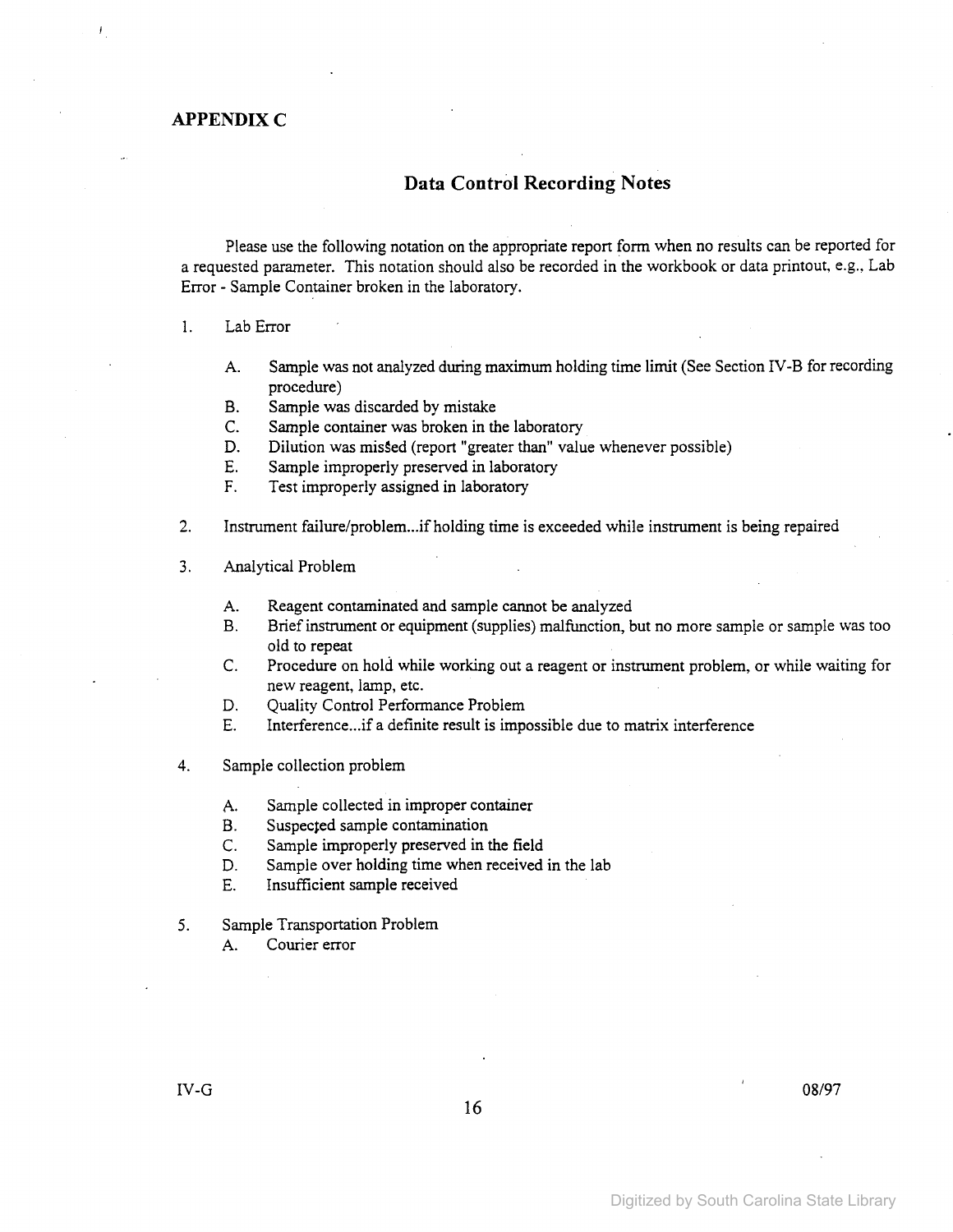## **APPENDIX C**

## **Data Control Recording Notes**

Please use the following notation on the appropriate report form when no results can be reported for a requested parameter. This notation should also be recorded in the workbook or data printout, e.g., Lab Error - Sample Container broken in the laboratory.

#### 1. Lab Error

- A. Sample was not analyzed during maximum holding time limit (See Section IV-B for recording procedure)
- B. Sample was discarded by mistake
- C. Sample container was broken in the laboratory
- D. Dilution was missed (report "greater than" value whenever possible)
- E. Sample improperly preserved in laboratory
- F. Test improperly assigned in laboratory
- 2. Instrument failure/problem...if holding time is exceeded while instrument is being repaired
- 3. Analytical Problem
	- A. Reagent contaminated and sample cannot be analyzed
	- B. Briefinstrument or equipment (supplies) malfunction, but no more sample or sample was too old to repeat
	- C. Procedure on hold while working out a reagent or instrument problem, or while waiting for new reagent, lamp, etc.
	- D. Quality Control Performance Problem
	- E. Interference...if a definite result is impossible due to matrix interference
- 4. Sample collection problem
	- A. Sample collected in improper container
	- B. Suspected sample contamination
	- C. Sample improperly preserved in the field
	- D. Sample over holding time when received in the lab
	- E. Insufficient sample received
- 5. Sample Transportation Problem
	- A. Courier error

IV-G $^{08/97}$ 

16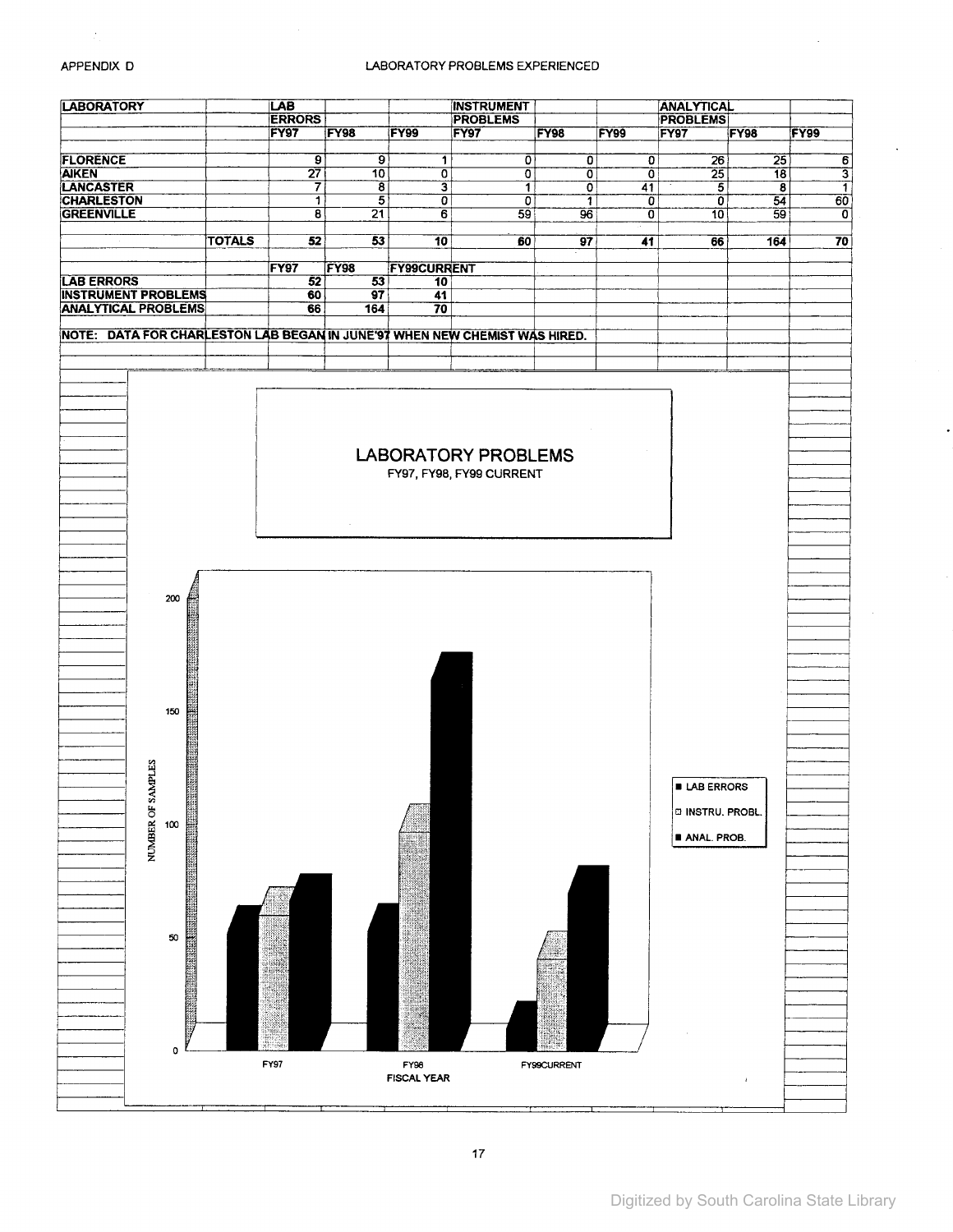#### APPENDIX D

#### LABORATORY PROBLEMS EXPERIENCED

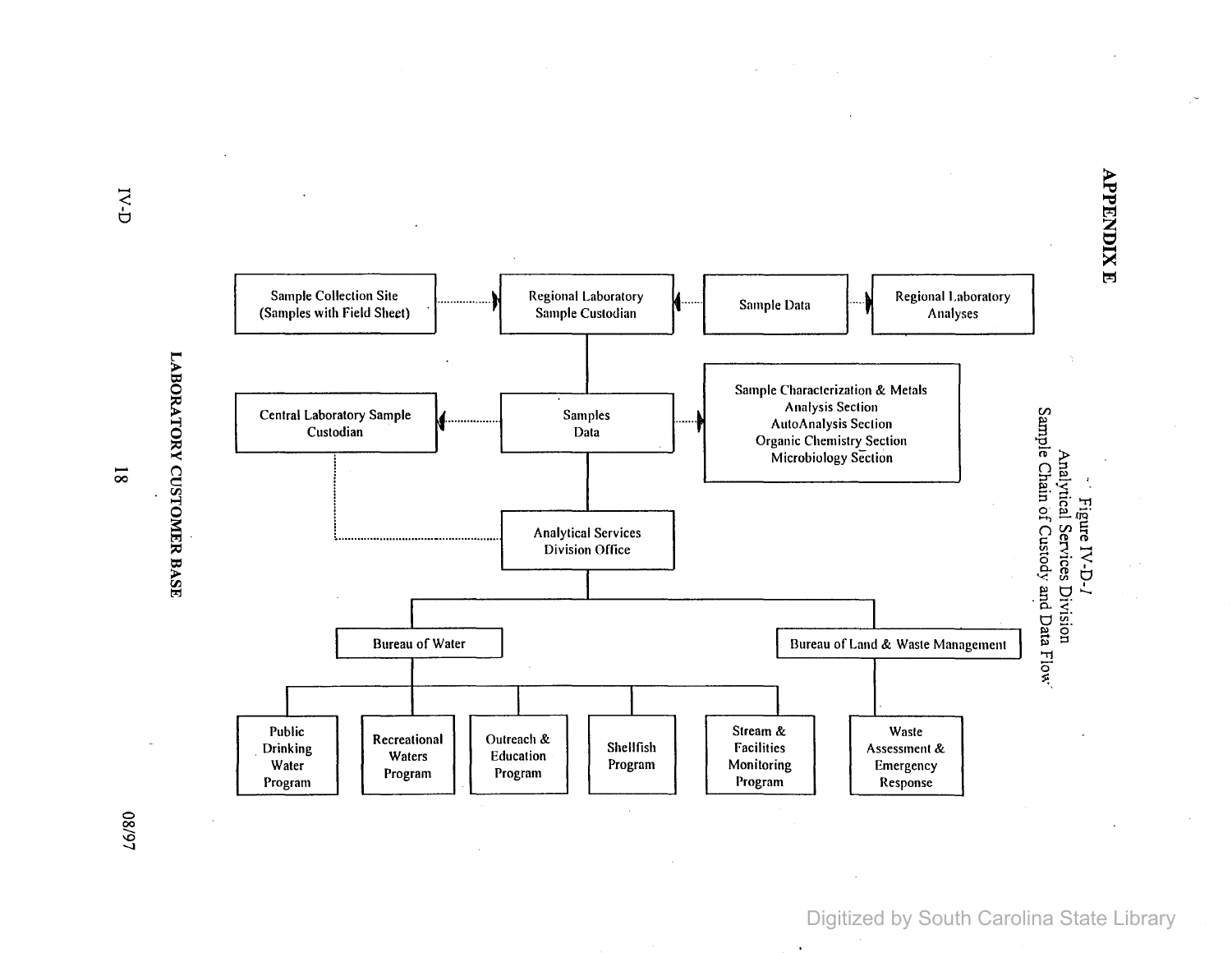**APPENDIX E** 

Sample Colleclion Site ..................• Regional Laboratory 4······· Sample Data ..... Regional Laboralory Sample Conection Site<br>(Samples with Field Sheet) Sample Custodian Sample Custodian Sample Data Analyses Sample Characterization & Metals Central Laboratory Sample ................. Samples ....... Analysis Seclion Analytical Services Division<br>Sample Chain of Custody and Data Flow AutoAnalysis Section **Organic Chemistry Section<br>Microbiology Section** Microbiology Section Figure IV-D-1 Analytical Services Division Office Bureau of Water **I** Bureau of Land & Waste Management I I I I Public | Recreational | Outreach & | | Shellfish | | Stream & | | Waste . Drinking Waters Education Shellfish Facilities Assessment & Water Program Program Program Program Program Monitoring Program Program Monitoring Program Program Monitoring Program Program | Program | Response

LABORATORY CUSTOMER BASE

 $\overline{\text{8}}$ 

**16/80** 

Digitized by South Carolina State Library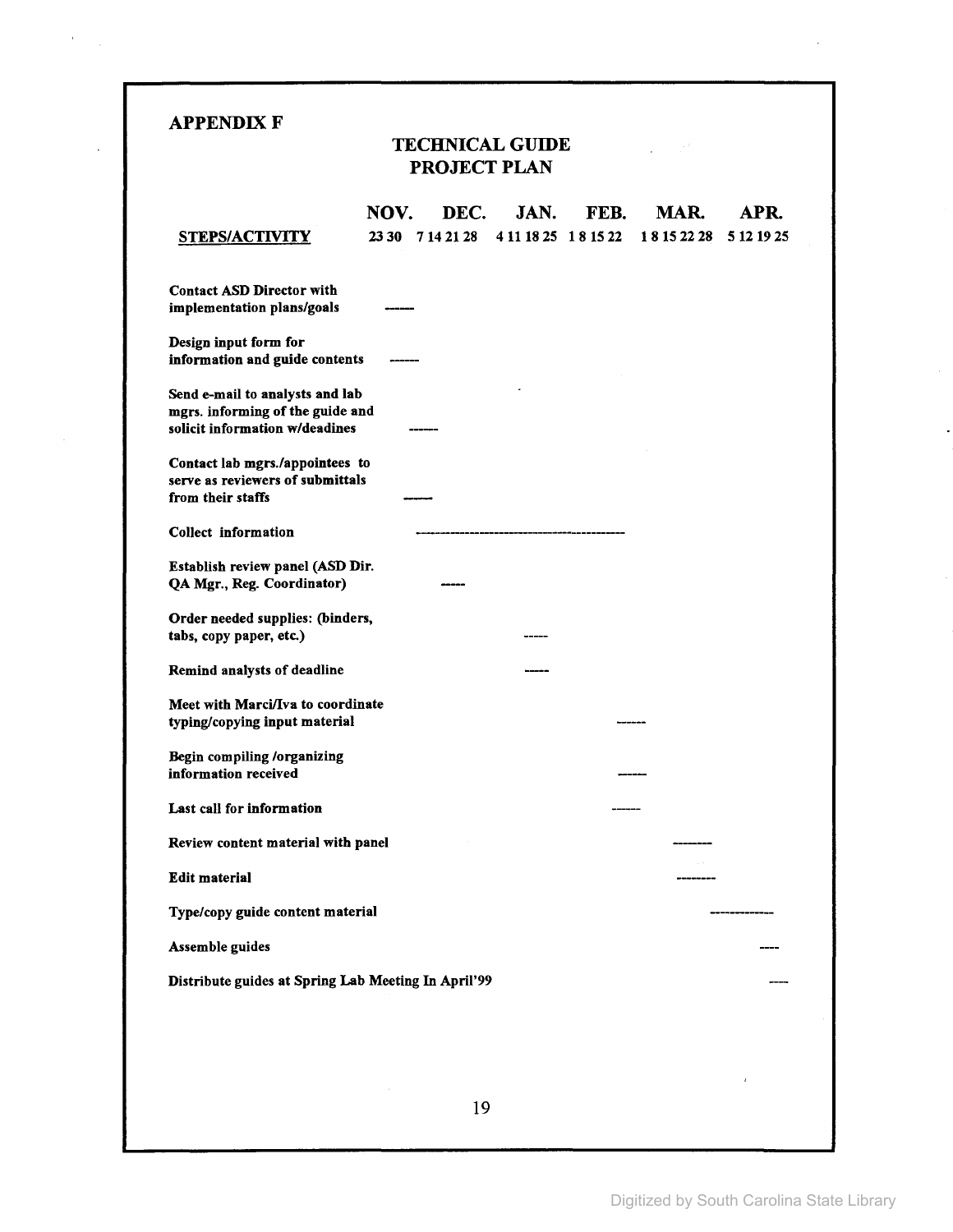| APPENDIX F |  |
|------------|--|
|------------|--|

 $\frac{1}{2} \sum_{i=1}^{n} \frac{1}{2} \sum_{j=1}^{n} \frac{1}{2} \sum_{j=1}^{n} \frac{1}{2} \sum_{j=1}^{n} \frac{1}{2} \sum_{j=1}^{n} \frac{1}{2} \sum_{j=1}^{n} \frac{1}{2} \sum_{j=1}^{n} \frac{1}{2} \sum_{j=1}^{n} \frac{1}{2} \sum_{j=1}^{n} \frac{1}{2} \sum_{j=1}^{n} \frac{1}{2} \sum_{j=1}^{n} \frac{1}{2} \sum_{j=1}^{n} \frac{1}{2} \sum_{j=1}^{n$ 

 $\cdot$ 

## TECHNICAL GUIDE PROJECT PLAN

 $\label{eq:2} \frac{1}{2} \int_{\mathbb{R}^2} \frac{1}{\sqrt{2}} \, \frac{1}{\sqrt{2}} \, \frac{1}{\sqrt{2}} \, \frac{1}{\sqrt{2}} \, \frac{1}{\sqrt{2}} \, \frac{1}{\sqrt{2}} \, \frac{1}{\sqrt{2}} \, \frac{1}{\sqrt{2}} \, \frac{1}{\sqrt{2}} \, \frac{1}{\sqrt{2}} \, \frac{1}{\sqrt{2}} \, \frac{1}{\sqrt{2}} \, \frac{1}{\sqrt{2}} \, \frac{1}{\sqrt{2}} \, \frac{1}{\sqrt{2}} \, \frac{1}{\sqrt{2}} \, \frac$ 

| STEPS/ACTIVITY                                                                                        | NOV.<br>23 30 7 14 21 28 |    | DEC. JAN. | FEB.<br>4 11 18 25 1 8 15 22 | MAR.<br>18152228 | APR.<br>5 12 19 25 |
|-------------------------------------------------------------------------------------------------------|--------------------------|----|-----------|------------------------------|------------------|--------------------|
| <b>Contact ASD Director with</b><br>implementation plans/goals                                        |                          |    |           |                              |                  |                    |
| Design input form for<br>information and guide contents                                               |                          |    |           |                              |                  |                    |
| Send e-mail to analysts and lab<br>mgrs. informing of the guide and<br>solicit information w/deadines |                          |    |           |                              |                  |                    |
| Contact lab mgrs./appointees to<br>serve as reviewers of submittals<br>from their staffs              |                          |    |           |                              |                  |                    |
| Collect information                                                                                   |                          |    |           |                              |                  |                    |
| Establish review panel (ASD Dir.<br>QA Mgr., Reg. Coordinator)                                        |                          |    |           |                              |                  |                    |
| Order needed supplies: (binders,<br>tabs, copy paper, etc.)                                           |                          |    |           |                              |                  |                    |
| Remind analysts of deadline                                                                           |                          |    |           |                              |                  |                    |
| Meet with Marci/Iva to coordinate<br>typing/copying input material                                    |                          |    |           |                              |                  |                    |
| Begin compiling /organizing<br>information received                                                   |                          |    |           |                              |                  |                    |
| Last call for information                                                                             |                          |    |           |                              |                  |                    |
| Review content material with panel                                                                    |                          |    |           |                              |                  |                    |
| <b>Edit material</b>                                                                                  |                          |    |           |                              |                  |                    |
| Type/copy guide content material                                                                      |                          |    |           |                              |                  |                    |
| Assemble guides                                                                                       |                          |    |           |                              |                  |                    |
| Distribute guides at Spring Lab Meeting In April'99                                                   |                          |    |           |                              |                  |                    |
|                                                                                                       |                          |    |           |                              |                  |                    |
|                                                                                                       |                          |    |           |                              |                  |                    |
|                                                                                                       |                          | 19 |           |                              |                  |                    |

 $\mathcal{A}$